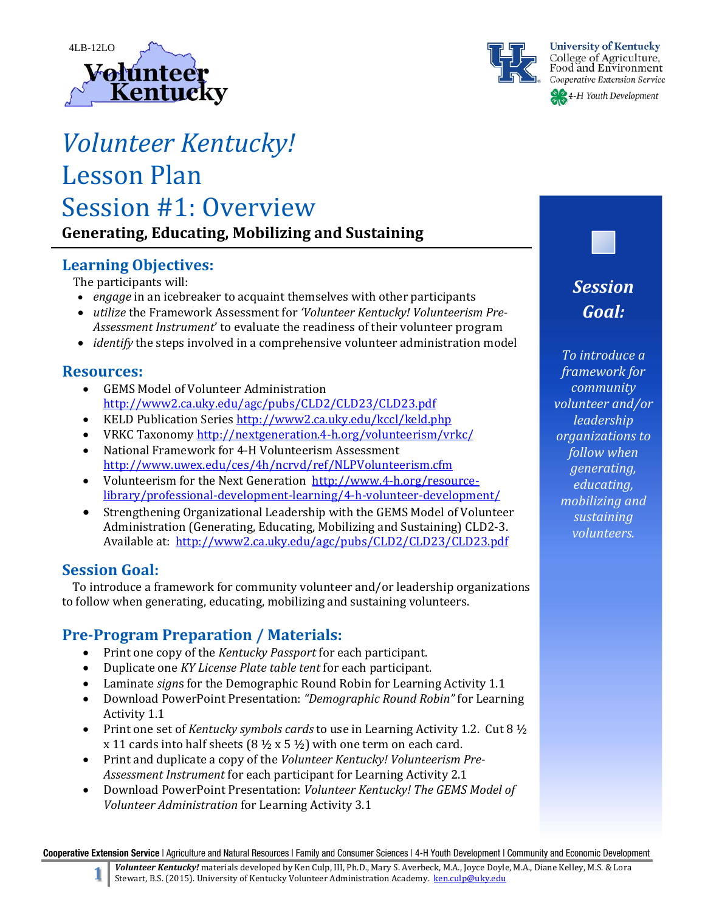



**University of Kentucky** College of Agriculture,<br>Food and Environment Cooperative Extension Service

4-H Youth Development

# *Volunteer Kentucky!* Lesson Plan Session #1: Overview **Generating, Educating, Mobilizing and Sustaining**

# **Learning Objectives:**

The participants will:

- *engage* in an icebreaker to acquaint themselves with other participants
- utilize the Framework Assessment for *'Volunteer Kentucky! Volunteerism Pre Assessment Instrument'* to evaluate the readiness of their volunteer program
- *identify* the steps involved in a comprehensive volunteer administration model

# **Resources:**

- GEMS Model of Volunteer Administration http://www2.ca.uky.edu/agc/pubs/CLD2/CLD23/CLD23.pdf
- KELD Publication Series http://www2.ca.uky.edu/kccl/keld.php
- VRKC Taxonomy http://nextgeneration.4-h.org/volunteerism/vrkc/
- National Framework for 4-H Volunteerism Assessment http://www.uwex.edu/ces/4h/ncrvd/ref/NLPVolunteerism.cfm
- Volunteerism for the Next Generation http://www.4-h.org/resourcelibrary/professional‐development‐learning/4‐h‐volunteer‐development/
- Strengthening Organizational Leadership with the GEMS Model of Volunteer Administration (Generating, Educating, Mobilizing and Sustaining) CLD2-3. Available at: http://www2.ca.uky.edu/agc/pubs/CLD2/CLD23/CLD23.pdf

# **Session Goal:**

To introduce a framework for community volunteer and/or leadership organizations to follow when generating, educating, mobilizing and sustaining volunteers.

# **Pre‐Program Preparation / Materials:**

- Print one copy of the *Kentucky Passport* for each participant.
- Duplicate one *KY License Plate table tent* for each participant.
- Laminate *signs* for the Demographic Round Robin for Learning Activity 1.1
- Download PowerPoint Presentation: *"Demographic Round Robin"* for Learning Activity 1.1
- Print one set of *Kentucky symbols cards* to use in Learning Activity 1.2. Cut  $8\frac{1}{2}$ x 11 cards into half sheets  $(8 \frac{1}{2} \times 5 \frac{1}{2})$  with one term on each card.
- Print and duplicate a copy of the *Volunteer Kentucky! Volunteerism Pre* Assessment *Instrument* for each participant for Learning Activity 2.1
- Download PowerPoint Presentation: *Volunteer Kentucky! The GEMS Model of Volunteer Administration* for Learning Activity 3.1

Cooperative Extension Service | Agriculture and Natural Resources | Family and Consumer Sciences | 4-H Youth Development | Community and Economic Development

*Session Goal:*

*To introduce a framework for community volunteer and/or leadership organizations to follow when generating, educating, mobilizing and sustaining volunteers.*

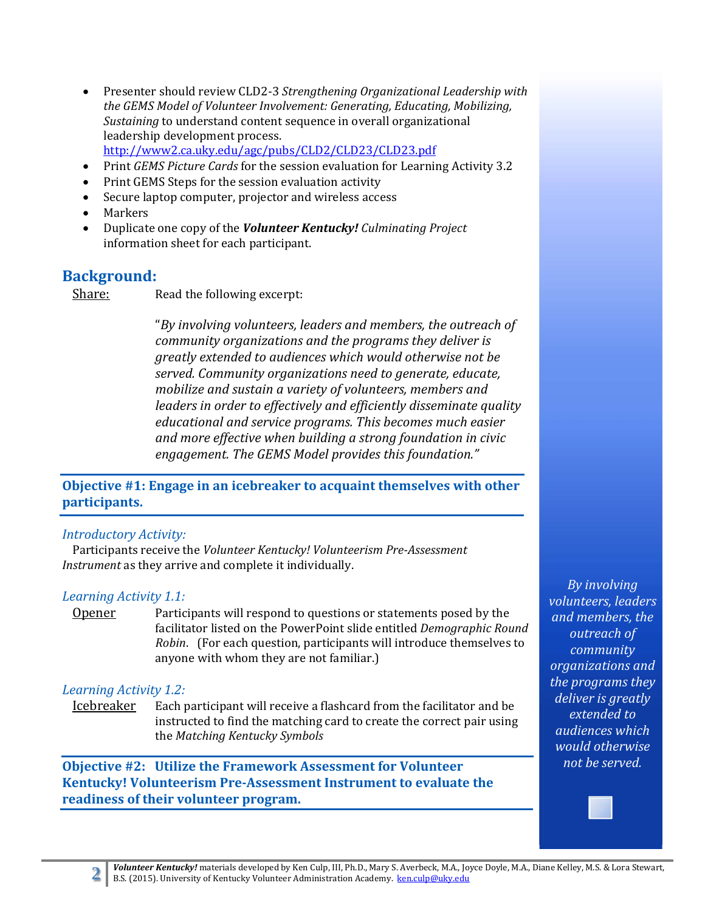- Presenter should review CLD2-3 *Strengthening Organizational Leadership* with *the GEMS Model of Volunteer Involvement: Generating, Educating, Mobilizing, Sustaining* to understand content sequence in overall organizational leadership development process. http://www2.ca.uky.edu/agc/pubs/CLD2/CLD23/CLD23.pdf
- Print *GEMS* Picture *Cards* for the session evaluation for Learning Activity 3.2
- Print GEMS Steps for the session evaluation activity
- Secure laptop computer, projector and wireless access
- Markers
- Duplicate one copy of the *Volunteer Kentucky! Culminating Project* information sheet for each participant.

#### **Background:**

Share: Read the following excerpt:

"*By involving volunteers, leaders and members, the outreach of community organizations and the programs they deliver is greatly extended to audiences which would otherwise not be served. Community organizations need to generate, educate, mobilize and sustain a variety of volunteers, members and leaders in order to effectively and efficiently disseminate quality educational and service programs. This becomes much easier and more effective when building a strong foundation in civic engagement. The GEMS Model provides this foundation."* 

**Objective #1: Engage in an icebreaker to acquaint themselves with other participants.**

#### *Introductory Activity:*

Participants receive the *Volunteer Kentucky! Volunteerism Pre‐Assessment Instrument* as they arrive and complete it individually.

#### *Learning Activity 1.1:*

**Opener** Participants will respond to questions or statements posed by the facilitator listed on the PowerPoint slide entitled *Demographic Round Robin.* (For each question, participants will introduce themselves to anyone with whom they are not familiar.)

#### *Learning Activity 1.2:*

Icebreaker Each participant will receive a flashcard from the facilitator and be instructed to find the matching card to create the correct pair using the *Matching Kentucky Symbols*

**Objective #2: Utilize the Framework Assessment for Volunteer Kentucky! Volunteerism Pre‐Assessment Instrument to evaluate the readiness of their volunteer program.**

*By involving volunteers, leaders and members, the outreach of community organizations and the programs they deliver is greatly extended to audiences which would otherwise not be served.*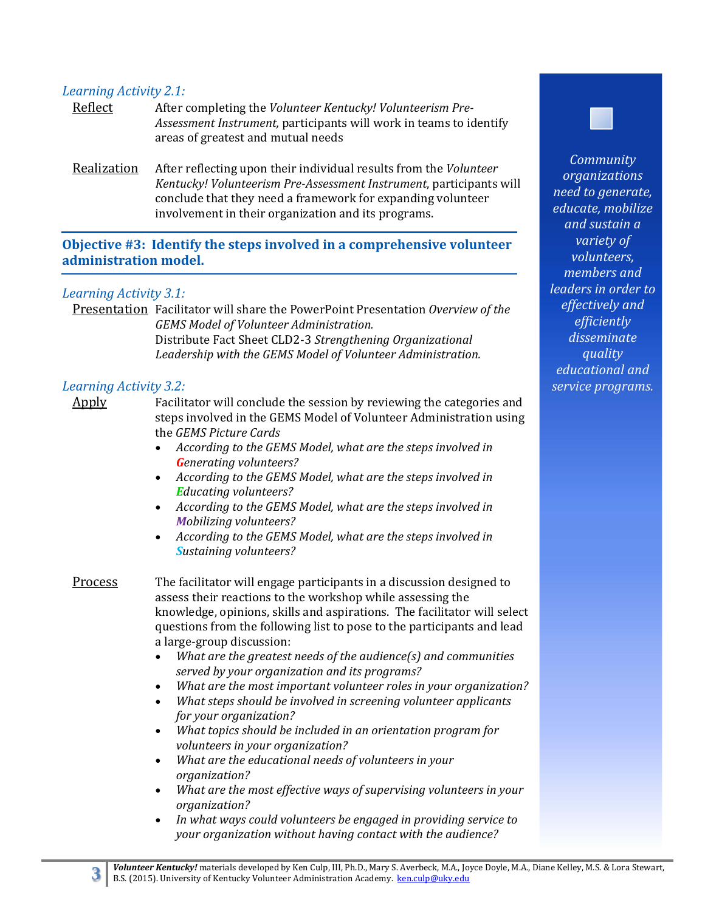#### *Learning Activity 2.1:*

- Reflect After completing the *Volunteer Kentucky! Volunteerism Pre-*Assessment *Instrument*, participants will work in teams to identify areas of greatest and mutual needs
- **Realization** After reflecting upon their individual results from the *Volunteer Kentucky! Volunteerism Pre‐Assessment Instrument*, participants will conclude that they need a framework for expanding volunteer involvement in their organization and its programs.

**Objective #3: Identify the steps involved in a comprehensive volunteer administration model.**

#### *Learning Activity 3.1:*

Presentation Facilitator will share the PowerPoint Presentation *Overview of the GEMS Model of Volunteer Administration.* Distribute Fact Sheet CLD2‐3 *Strengthening Organizational Leadership with the GEMS Model of Volunteer Administration.*

#### *Learning Activity 3.2:*

Apply Facilitator will conclude the session by reviewing the categories and steps involved in the GEMS Model of Volunteer Administration using the *GEMS Picture Cards*

- *According to the GEMS Model, what are the steps involved in Generating volunteers?*
- *According to the GEMS Model, what are the steps involved in Educating volunteers?*
- *According to the GEMS Model, what are the steps involved in Mobilizing volunteers?*
- *According to the GEMS Model, what are the steps involved in Sustaining volunteers?*

**Process** The facilitator will engage participants in a discussion designed to assess their reactions to the workshop while assessing the knowledge, opinions, skills and aspirations. The facilitator will select questions from the following list to pose to the participants and lead a large-group discussion:

- *What are the greatest needs of the audience(s) and communities served by your organization and its programs?*
- *What are the most important volunteer roles in your organization?*
- *What steps should be involved in screening volunteer applicants for your organization?*
- *What topics should be included in an orientation program for volunteers in your organization?*
- *What are the educational needs of volunteers in your organization?*
- *What are the most effective ways of supervising volunteers in your organization?*
- *In what ways could volunteers be engaged in providing service to your organization without having contact with the audience?*



*organizations need to generate, educate, mobilize and sustain a variety of volunteers, members and leaders in order to effectively and efficiently disseminate quality educational and service programs.*